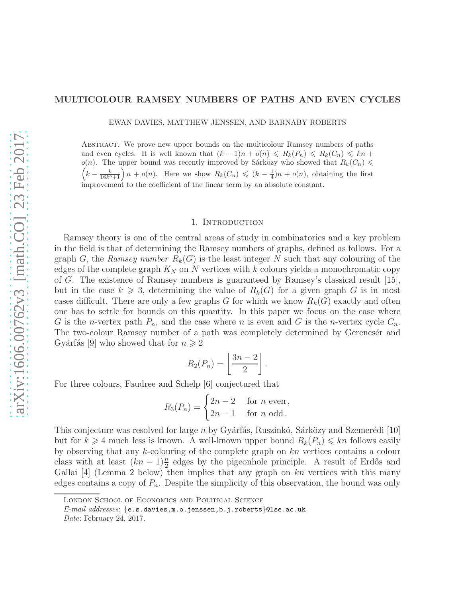## MULTICOLOUR RAMSEY NUMBERS OF PATHS AND EVEN CYCLES

EWAN DAVIES, MATTHEW JENSSEN, AND BARNABY ROBERTS

Abstract. We prove new upper bounds on the multicolour Ramsey numbers of paths and even cycles. It is well known that  $(k-1)n + o(n) \leq R_k(P_n) \leq R_k(C_n) \leq kn+1$  $o(n)$ . The upper bound was recently improved by Sárközy who showed that  $R_k(C_n)$  $\left(k-\frac{k}{16k^3+1}\right)n+o(n)$ . Here we show  $R_k(C_n) \leqslant (k-\frac{1}{4})n+o(n)$ , obtaining the first improvement to the coefficient of the linear term by an absolute constant.

### 1. INTRODUCTION

Ramsey theory is one of the central areas of study in combinatorics and a key problem in the field is that of determining the Ramsey numbers of graphs, defined as follows. For a graph G, the Ramsey number  $R_k(G)$  is the least integer N such that any colouring of the edges of the complete graph  $K_N$  on N vertices with k colours yields a monochromatic copy of G. The existence of Ramsey numbers is guaranteed by Ramsey's classical result [\[15\]](#page-11-0), but in the case  $k \geq 3$ , determining the value of  $R_k(G)$  for a given graph G is in most cases difficult. There are only a few graphs G for which we know  $R_k(G)$  exactly and often one has to settle for bounds on this quantity. In this paper we focus on the case where G is the *n*-vertex path  $P_n$ , and the case where *n* is even and G is the *n*-vertex cycle  $C_n$ . The two-colour Ramsey number of a path was completely determined by Gerencser and Gyárfás [\[9\]](#page-11-1) who showed that for  $n \geq 2$ 

$$
R_2(P_n) = \left\lfloor \frac{3n-2}{2} \right\rfloor.
$$

For three colours, Faudree and Schelp [\[6\]](#page-11-2) conjectured that

$$
R_3(P_n) = \begin{cases} 2n - 2 & \text{for } n \text{ even,} \\ 2n - 1 & \text{for } n \text{ odd.} \end{cases}
$$

This conjecture was resolved for large n by Gyárfás, Ruszinkó, Sárközy and Szemerédi  $[10]$ but for  $k \geq 4$  much less is known. A well-known upper bound  $R_k(P_n) \leq k n$  follows easily by observing that any  $k$ -colouring of the complete graph on  $kn$  vertices contains a colour class with at least  $(kn-1)\frac{n}{2}$  edges by the pigeonhole principle. A result of Erdős and Gallai  $[4]$  (Lemma [2](#page-3-0) below) then implies that any graph on  $kn$  vertices with this many edges contains a copy of  $P_n$ . Despite the simplicity of this observation, the bound was only

London School of Economics and Political Science

*E-mail addresses*: {e.s.davies,m.o.jenssen,b.j.roberts}@lse.ac.uk.

*Date*: February 24, 2017.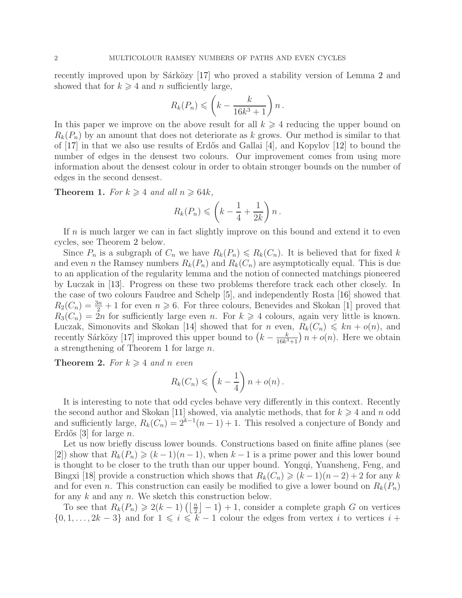recently improved upon by Sárközy  $[17]$  who proved a stability version of Lemma [2](#page-3-0) and showed that for  $k \geq 4$  and n sufficiently large,

$$
R_k(P_n) \leqslant \left(k - \frac{k}{16k^3 + 1}\right)n.
$$

In this paper we improve on the above result for all  $k \geq 4$  reducing the upper bound on  $R_k(P_n)$  by an amount that does not deteriorate as k grows. Our method is similar to that of  $[17]$  in that we also use results of Erdős and Gallai  $[4]$ , and Kopylov  $[12]$  to bound the number of edges in the densest two colours. Our improvement comes from using more information about the densest colour in order to obtain stronger bounds on the number of edges in the second densest.

<span id="page-1-1"></span>**Theorem 1.** For  $k \geq 4$  and all  $n \geq 64k$ ,

$$
R_k(P_n) \leqslant \left(k - \frac{1}{4} + \frac{1}{2k}\right)n\,.
$$

If  $n$  is much larger we can in fact slightly improve on this bound and extend it to even cycles, see Theorem [2](#page-1-0) below.

Since  $P_n$  is a subgraph of  $C_n$  we have  $R_k(P_n) \le R_k(C_n)$ . It is believed that for fixed k and even *n* the Ramsey numbers  $R_k(P_n)$  and  $R_k(C_n)$  are asymptotically equal. This is due to an application of the regularity lemma and the notion of connected matchings pioneered by Luczak in [\[13\]](#page-11-7). Progress on these two problems therefore track each other closely. In the case of two colours Faudree and Schelp [\[5\]](#page-11-8), and independently Rosta [\[16\]](#page-11-9) showed that  $R_2(C_n) = \frac{3n}{2} + 1$  for even  $n \ge 6$ . For three colours, Benevides and Skokan [\[1\]](#page-11-10) proved that  $R_3(C_n) = 2n$  for sufficiently large even n. For  $k \geq 4$  colours, again very little is known. Luczak, Simonovits and Skokan [\[14\]](#page-11-11) showed that for n even,  $R_k(C_n) \leq k n + o(n)$ , and recently Sárközy [\[17\]](#page-11-5) improved this upper bound to  $(k - \frac{k}{16k^3})$  $\frac{k}{16k^3+1}$   $n + o(n)$ . Here we obtain a strengthening of Theorem [1](#page-1-1) for large n.

<span id="page-1-0"></span>**Theorem 2.** For  $k \geq 4$  and n even

$$
R_k(C_n) \leqslant \left(k - \frac{1}{4}\right)n + o(n).
$$

It is interesting to note that odd cycles behave very differently in this context. Recently the second author and Skokan [\[11\]](#page-11-12) showed, via analytic methods, that for  $k \geq 4$  and n odd and sufficiently large,  $R_k(C_n) = 2^{k-1}(n-1) + 1$ . This resolved a conjecture of Bondy and Erdős [\[3\]](#page-11-13) for large  $n$ .

Let us now briefly discuss lower bounds. Constructions based on finite affine planes (see [\[2\]](#page-11-14)) show that  $R_k(P_n) \geq (k-1)(n-1)$ , when  $k-1$  is a prime power and this lower bound is thought to be closer to the truth than our upper bound. Yongqi, Yuansheng, Feng, and Bingxi [\[18\]](#page-11-15) provide a construction which shows that  $R_k(C_n) \geq (k-1)(n-2) + 2$  for any k and for even n. This construction can easily be modified to give a lower bound on  $R_k(P_n)$ for any  $k$  and any  $n$ . We sketch this construction below.

To see that  $R_k(P_n) \geq 2(k-1)\left(\left\lfloor \frac{n}{2} \right\rfloor - 1\right) + 1$ , consider a complete graph G on vertices  $\{0, 1, \ldots, 2k - 3\}$  and for  $1 \leq i \leq k - 1$  colour the edges from vertex i to vertices  $i +$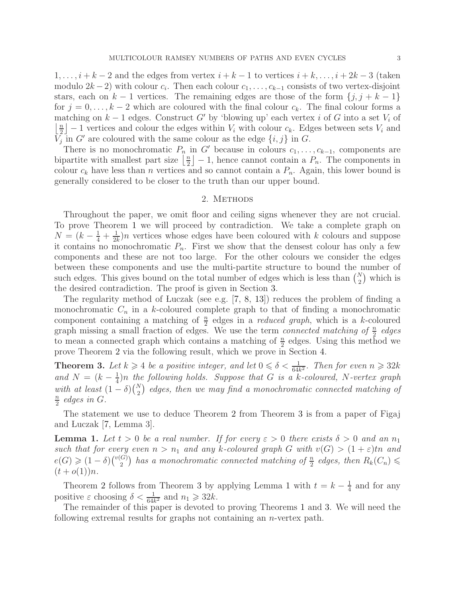$1, \ldots, i + k - 2$  and the edges from vertex  $i + k - 1$  to vertices  $i + k, \ldots, i + 2k - 3$  (taken modulo  $2k-2$ ) with colour  $c_i$ . Then each colour  $c_1, \ldots, c_{k-1}$  consists of two vertex-disjoint stars, each on  $k-1$  vertices. The remaining edges are those of the form  $\{j, j + k - 1\}$ for  $j = 0, \ldots, k-2$  which are coloured with the final colour  $c_k$ . The final colour forms a matching on  $k-1$  edges. Construct G' by 'blowing up' each vertex i of G into a set  $V_i$  of  $\frac{n}{2}$  $\lfloor \frac{n}{2} \rfloor - 1$  vertices and colour the edges within  $V_i$  with colour  $c_k$ . Edges between sets  $V_i$  and  $\overline{V_j}$  in G' are coloured with the same colour as the edge  $\{i, j\}$  in G.

There is no monochromatic  $P_n$  in G' because in colours  $c_1, \ldots, c_{k-1}$ , components are bipartite with smallest part size  $\frac{n}{2}$  $\lfloor \frac{n}{2} \rfloor - 1$ , hence cannot contain a  $P_n$ . The components in colour  $c_k$  have less than n vertices and so cannot contain a  $P_n$ . Again, this lower bound is generally considered to be closer to the truth than our upper bound.

## 2. METHODS

Throughout the paper, we omit floor and ceiling signs whenever they are not crucial. To prove Theorem [1](#page-1-1) we will proceed by contradiction. We take a complete graph on  $N = (k - \frac{1}{4} + \frac{1}{2k})$  $\frac{1}{2k}$ )n vertices whose edges have been coloured with k colours and suppose it contains no monochromatic  $P_n$ . First we show that the densest colour has only a few components and these are not too large. For the other colours we consider the edges between these components and use the multi-partite structure to bound the number of such edges. This gives bound on the total number of edges which is less than  $\binom{N}{2}$  which is the desired contradiction. The proof is given in Section [3.](#page-3-1)

The regularity method of Luczak (see e.g. [\[7,](#page-11-16) [8,](#page-11-17) [13\]](#page-11-7)) reduces the problem of finding a monochromatic  $C_n$  in a k-coloured complete graph to that of finding a monochromatic component containing a matching of  $\frac{n}{2}$  edges in a *reduced graph*, which is a *k*-coloured graph missing a small fraction of edges. We use the term *connected matching of*  $\frac{n}{2}$  edges to mean a connected graph which contains a matching of  $\frac{n}{2}$  edges. Using this method we prove Theorem [2](#page-1-0) via the following result, which we prove in Section [4.](#page-7-0)

<span id="page-2-0"></span>**Theorem 3.** Let  $k \geqslant 4$  be a positive integer, and let  $0 \leqslant \delta < \frac{1}{64k^2}$ . Then for even  $n \geqslant 32k$ and  $N = (k - \frac{1}{4})$  $\frac{1}{4}$ )n the following holds. Suppose that G is a k-coloured, N-vertex graph with at least  $(1 - \delta) {N \choose 2}$  edges, then we may find a monochromatic connected matching of n  $\frac{n}{2}$  edges in G.

The statement we use to deduce Theorem [2](#page-1-0) from Theorem [3](#page-2-0) is from a paper of Figaj and Luczak [\[7,](#page-11-16) Lemma 3].

<span id="page-2-1"></span>**Lemma 1.** Let  $t > 0$  be a real number. If for every  $\varepsilon > 0$  there exists  $\delta > 0$  and an  $n_1$ such that for every even  $n > n_1$  and any k-coloured graph G with  $v(G) > (1 + \varepsilon)tn$  and  $e(G) \geqslant (1-\delta)\binom{v(G)}{2}$  $\binom{G}{2}$  has a monochromatic connected matching of  $\frac{n}{2}$  edges, then  $R_k(C_n) \leq$  $(t + o(1))n$ .

Theorem [2](#page-1-0) follows from Theorem [3](#page-2-0) by applying Lemma [1](#page-2-1) with  $t = k - \frac{1}{4}$  $\frac{1}{4}$  and for any positive  $\varepsilon$  choosing  $\delta < \frac{1}{64k^2}$  and  $n_1 \geqslant 32k$ .

The remainder of this paper is devoted to proving Theorems [1](#page-1-1) and [3.](#page-2-0) We will need the following extremal results for graphs not containing an n-vertex path.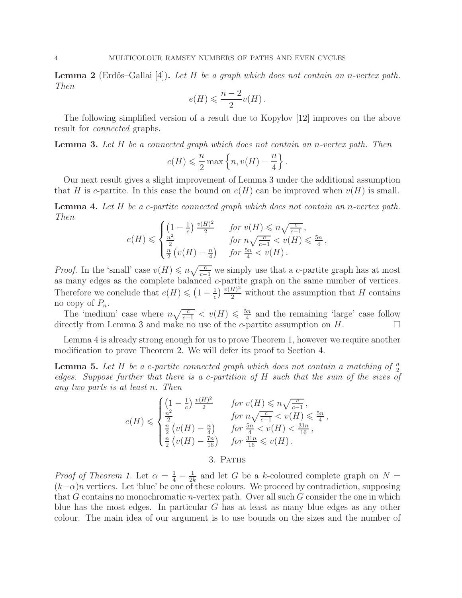<span id="page-3-0"></span>**Lemma 2** (Erdős–Gallai [\[4\]](#page-11-4)). Let H be a graph which does not contain an n-vertex path. Then

$$
e(H) \leqslant \frac{n-2}{2}v(H).
$$

The following simplified version of a result due to Kopylov [\[12\]](#page-11-6) improves on the above result for connected graphs.

<span id="page-3-2"></span>**Lemma 3.** Let  $H$  be a connected graph which does not contain an n-vertex path. Then

$$
e(H) \leqslant \frac{n}{2} \max \left\{ n, v(H) - \frac{n}{4} \right\}.
$$

Our next result gives a slight improvement of Lemma [3](#page-3-2) under the additional assumption that H is c-partite. In this case the bound on  $e(H)$  can be improved when  $v(H)$  is small.

<span id="page-3-3"></span>Lemma 4. Let H be a c-partite connected graph which does not contain an n-vertex path. Then

$$
e(H) \leqslant \begin{cases} \left(1 - \frac{1}{c}\right) \frac{v(H)^2}{2} & \text{for } v(H) \leqslant n\sqrt{\frac{c}{c-1}} \,,\\ \frac{n^2}{2} & \text{for } n\sqrt{\frac{c}{c-1}} < v(H) \leqslant \frac{5n}{4} \,,\\ \frac{n}{2} \left(v(H) - \frac{n}{4}\right) & \text{for } \frac{5n}{4} < v(H) \,. \end{cases}
$$

*Proof.* In the 'small' case  $v(H) \le n \sqrt{\frac{c}{c-1}}$  we simply use that a c-partite graph has at most as many edges as the complete balanced c-partite graph on the same number of vertices. Therefore we conclude that  $e(H) \leqslant (1 - \frac{1}{c})$  $\frac{1}{c}$ )  $\frac{v(H)^2}{2}$  without the assumption that H contains no copy of  $P_n$ .

The 'medium' case where  $n\sqrt{\frac{c}{c-1}} < v(H) \leq \frac{5n}{4}$  $\frac{m}{4}$  and the remaining 'large' case follow directly from Lemma [3](#page-3-2) and make no use of the c-partite assumption on  $H$ .

Lemma [4](#page-3-3) is already strong enough for us to prove Theorem [1,](#page-1-1) however we require another modification to prove Theorem [2.](#page-1-0) We will defer its proof to Section [4.](#page-7-0)

<span id="page-3-4"></span>**Lemma 5.** Let H be a c-partite connected graph which does not contain a matching of  $\frac{n}{2}$ 2 edges. Suppose further that there is a c-partition of H such that the sum of the sizes of any two parts is at least n. Then

$$
e(H) \leqslant \begin{cases} \left(1 - \frac{1}{c}\right) \frac{v(H)^2}{2} & \text{for } v(H) \leqslant n\sqrt{\frac{c}{c-1}},\\ \frac{n^2}{2} & \text{for } n\sqrt{\frac{c}{c-1}} < v(H) \leqslant \frac{5n}{4},\\ \frac{n}{2} \left(v(H) - \frac{n}{4}\right) & \text{for } \frac{5n}{4} < v(H) < \frac{31n}{16},\\ \frac{n}{2} \left(v(H) - \frac{7n}{16}\right) & \text{for } \frac{31n}{16} \leqslant v(H)\\ 3. & \text{Partus} \end{cases}
$$

<span id="page-3-1"></span>*Proof of Theorem [1.](#page-1-1)* Let  $\alpha = \frac{1}{4} - \frac{1}{2l}$  $\frac{1}{2k}$  and let G be a k-coloured complete graph on  $N =$  $(k-\alpha)n$  vertices. Let 'blue' be one of these colours. We proceed by contradiction, supposing that G contains no monochromatic n-vertex path. Over all such G consider the one in which blue has the most edges. In particular G has at least as many blue edges as any other colour. The main idea of our argument is to use bounds on the sizes and the number of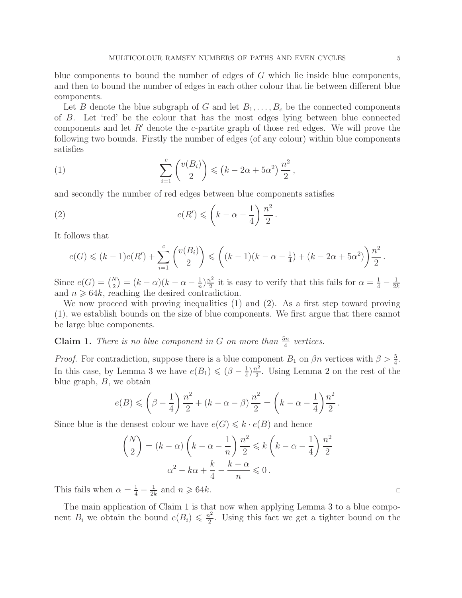blue components to bound the number of edges of G which lie inside blue components, and then to bound the number of edges in each other colour that lie between different blue components.

Let B denote the blue subgraph of G and let  $B_1, \ldots, B_c$  be the connected components of B. Let 'red' be the colour that has the most edges lying between blue connected components and let  $R'$  denote the c-partite graph of those red edges. We will prove the following two bounds. Firstly the number of edges (of any colour) within blue components satisfies

<span id="page-4-0"></span>(1) 
$$
\sum_{i=1}^{c} {v(B_i) \choose 2} \leq (k - 2\alpha + 5\alpha^2) \frac{n^2}{2},
$$

and secondly the number of red edges between blue components satisfies

<span id="page-4-1"></span>(2) 
$$
e(R') \leqslant \left(k - \alpha - \frac{1}{4}\right) \frac{n^2}{2}.
$$

It follows that

$$
e(G) \leq (k-1)e(R') + \sum_{i=1}^{c} {v(B_i) \choose 2} \leq (k-1)(k-\alpha-\frac{1}{4}) + (k-2\alpha+5\alpha^2)\frac{n^2}{2}.
$$

Since  $e(G) = {N \choose 2} = (k - \alpha)(k - \alpha - \frac{1}{n})$  $\frac{1}{n}\big)\frac{n^2}{2}$  $\frac{1}{2}$  it is easy to verify that this fails for  $\alpha = \frac{1}{4} - \frac{1}{2l}$  $2k$ and  $n \geq 64k$ , reaching the desired contradiction.

We now proceed with proving inequalities [\(1\)](#page-4-0) and [\(2\)](#page-4-1). As a first step toward proving [\(1\)](#page-4-0), we establish bounds on the size of blue components. We first argue that there cannot be large blue components.

<span id="page-4-2"></span>**Claim 1.** There is no blue component in G on more than  $\frac{5n}{4}$  vertices.

*Proof.* For contradiction, suppose there is a blue component  $B_1$  on  $\beta n$  vertices with  $\beta > \frac{5}{4}$ . In this case, by Lemma [3](#page-3-2) we have  $e(B_1) \leqslant (\beta - \frac{1}{4})$  $\frac{1}{4}$ ) $\frac{n^2}{2}$  $\frac{i^2}{2}$  $\frac{i^2}{2}$  $\frac{i^2}{2}$ . Using Lemma 2 on the rest of the blue graph,  $B$ , we obtain

$$
e(B) \leq \left(\beta - \frac{1}{4}\right) \frac{n^2}{2} + (k - \alpha - \beta) \frac{n^2}{2} = \left(k - \alpha - \frac{1}{4}\right) \frac{n^2}{2}.
$$

Since blue is the densest colour we have  $e(G) \leq k \cdot e(B)$  and hence

$$
\binom{N}{2} = (k - \alpha) \left( k - \alpha - \frac{1}{n} \right) \frac{n^2}{2} \le k \left( k - \alpha - \frac{1}{4} \right) \frac{n^2}{2}
$$

$$
\alpha^2 - k\alpha + \frac{k}{4} - \frac{k - \alpha}{n} \le 0.
$$

This fails when  $\alpha = \frac{1}{4} - \frac{1}{2l}$  $\frac{1}{2k}$  and  $n \geqslant 64k$ .

The main application of Claim [1](#page-4-2) is that now when applying Lemma [3](#page-3-2) to a blue component  $B_i$  we obtain the bound  $e(B_i) \leq \frac{n^2}{2}$  $\frac{b^2}{2}$ . Using this fact we get a tighter bound on the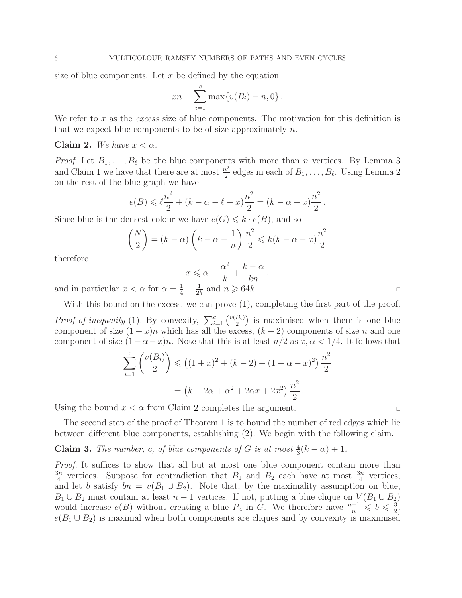size of blue components. Let  $x$  be defined by the equation

$$
xn = \sum_{i=1}^{c} \max\{v(B_i) - n, 0\}.
$$

We refer to x as the excess size of blue components. The motivation for this definition is that we expect blue components to be of size approximately  $n$ .

## <span id="page-5-0"></span>Claim 2. We have  $x < \alpha$ .

*Proof.* Let  $B_1, \ldots, B_\ell$  be the blue components with more than n vertices. By Lemma [3](#page-3-2) and Claim [1](#page-4-2) we have that there are at most  $\frac{n^2}{2}$  $\frac{\nu^2}{2}$  $\frac{\nu^2}{2}$  $\frac{\nu^2}{2}$  edges in each of  $B_1, \ldots, B_\ell$ . Using Lemma 2 on the rest of the blue graph we have

$$
e(B) \leq \ell \frac{n^2}{2} + (k - \alpha - \ell - x) \frac{n^2}{2} = (k - \alpha - x) \frac{n^2}{2}.
$$

Since blue is the densest colour we have  $e(G) \leq k \cdot e(B)$ , and so

$$
\binom{N}{2} = (k - \alpha) \left( k - \alpha - \frac{1}{n} \right) \frac{n^2}{2} \leq k(k - \alpha - x) \frac{n^2}{2}
$$

therefore

$$
x \leqslant \alpha - \frac{\alpha^2}{k} + \frac{k - \alpha}{kn},
$$

and in particular  $x < \alpha$  for  $\alpha = \frac{1}{4} - \frac{1}{2l}$  $\frac{1}{2k}$  and  $n \geqslant 64k$ .

With this bound on the excess, we can prove  $(1)$ , completing the first part of the proof.

*Proof of inequality* [\(1\)](#page-4-0). By convexity,  $\sum_{i=1}^{c} {v(B_i) \choose 2}$  $\binom{B_i}{2}$  is maximised when there is one blue component of size  $(1+x)n$  which has all the excess,  $(k-2)$  components of size n and one component of size  $(1-\alpha-x)n$ . Note that this is at least  $n/2$  as  $x, \alpha < 1/4$ . It follows that

$$
\sum_{i=1}^{c} {v(B_i) \choose 2} \le ((1+x)^2 + (k-2) + (1-\alpha-x)^2) \frac{n^2}{2}
$$

$$
= (k - 2\alpha + \alpha^2 + 2\alpha x + 2x^2) \frac{n^2}{2}.
$$

Using the bound  $x < \alpha$  from Claim [2](#page-5-0) completes the argument.

The second step of the proof of Theorem [1](#page-1-1) is to bound the number of red edges which lie between different blue components, establishing [\(2\)](#page-4-1). We begin with the following claim.

# <span id="page-5-1"></span>**Claim 3.** The number, c, of blue components of G is at most  $\frac{4}{3}(k-\alpha)+1$ .

Proof. It suffices to show that all but at most one blue component contain more than  $3n$  $\frac{3n}{4}$  vertices. Suppose for contradiction that  $B_1$  and  $B_2$  each have at most  $\frac{3n}{4}$  vertices, and let b satisfy  $bn = v(B_1 \cup B_2)$ . Note that, by the maximality assumption on blue,  $B_1 \cup B_2$  must contain at least  $n-1$  vertices. If not, putting a blue clique on  $V(B_1 \cup B_2)$ would increase  $e(B)$  without creating a blue  $P_n$  in G. We therefore have  $\frac{n-1}{n} \leqslant b \leqslant \frac{3}{2}$  $\frac{3}{2}$ .  $e(B_1 \cup B_2)$  is maximal when both components are cliques and by convexity is maximised

2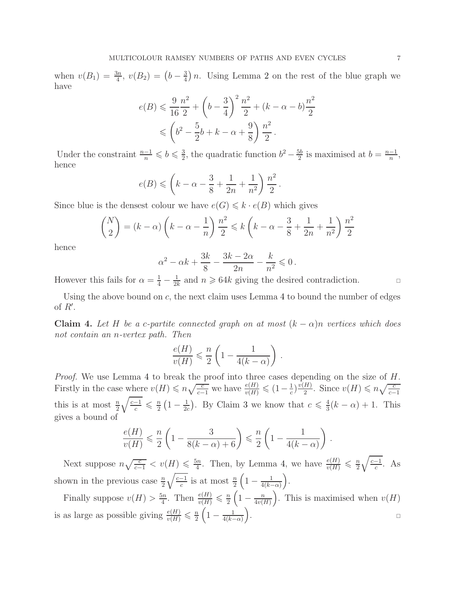when  $v(B_1) = \frac{3n}{4}$ ,  $v(B_2) = (b - \frac{3}{4})$  $\frac{3}{4}$ ) n. Using Lemma [2](#page-3-0) on the rest of the blue graph we have

$$
e(B) \leq \frac{9}{16} \frac{n^2}{2} + \left(b - \frac{3}{4}\right)^2 \frac{n^2}{2} + (k - \alpha - b) \frac{n^2}{2}
$$
  

$$
\leq \left(b^2 - \frac{5}{2}b + k - \alpha + \frac{9}{8}\right) \frac{n^2}{2}.
$$

Under the constraint  $\frac{n-1}{n} \leqslant b \leqslant \frac{3}{2}$  $\frac{3}{2}$ , the quadratic function  $b^2 - \frac{5b}{2}$  $\frac{5b}{2}$  is maximised at  $b = \frac{n-1}{n}$  $\frac{-1}{n}$ , hence

$$
e(B) \leqslant \left(k - \alpha - \frac{3}{8} + \frac{1}{2n} + \frac{1}{n^2}\right) \frac{n^2}{2}.
$$

Since blue is the densest colour we have  $e(G) \leq k \cdot e(B)$  which gives

$$
\binom{N}{2} = (k - \alpha) \left( k - \alpha - \frac{1}{n} \right) \frac{n^2}{2} \le k \left( k - \alpha - \frac{3}{8} + \frac{1}{2n} + \frac{1}{n^2} \right) \frac{n^2}{2}
$$

hence

$$
\alpha^2-\alpha k+\frac{3k}{8}-\frac{3k-2\alpha}{2n}-\frac{k}{n^2}\leqslant 0\,.
$$

However this fails for  $\alpha = \frac{1}{4} - \frac{1}{2l}$  $\frac{1}{2k}$  and  $n \geqslant 64k$  giving the desired contradiction.

Using the above bound on  $c$ , the next claim uses Lemma [4](#page-3-3) to bound the number of edges of  $R'$ .

<span id="page-6-0"></span>Claim 4. Let H be a c-partite connected graph on at most  $(k - \alpha)n$  vertices which does not contain an n-vertex path. Then

$$
\frac{e(H)}{v(H)} \leqslant \frac{n}{2} \left( 1 - \frac{1}{4(k - \alpha)} \right) .
$$

Proof. We use Lemma [4](#page-3-3) to break the proof into three cases depending on the size of H. Firstly in the case where  $v(H) \leq n \sqrt{\frac{c}{c-1}}$  we have  $\frac{e(H)}{v(H)} \leq (1 - \frac{1}{c})$  $\frac{1}{c}$ ) $\frac{v(H)}{2}$  $\frac{H}{2}$ . Since  $v(H) \leqslant n \sqrt{\frac{c}{c-1}}$ this is at most  $\frac{n}{2}$  $\sqrt{\frac{c-1}{c}} \leqslant \frac{n}{2}$  $\frac{n}{2}\left(1-\frac{1}{2\epsilon}\right)$  $\frac{1}{2c}$ ). By Claim [3](#page-5-1) we know that  $c \leqslant \frac{4}{3}$  $\frac{4}{3}(k-\alpha) + 1$ . This gives a bound of

$$
\frac{e(H)}{v(H)} \leqslant \frac{n}{2} \left( 1 - \frac{3}{8(k-\alpha) + 6} \right) \leqslant \frac{n}{2} \left( 1 - \frac{1}{4(k-\alpha)} \right) \, .
$$

Next suppose  $n\sqrt{\frac{c}{c-1}} < v(H) \leq \frac{5n}{4}$  $\frac{\sin n}{4}$ . Then, by Lemma [4,](#page-3-3) we have  $\frac{e(H)}{v(H)} \leqslant \frac{n}{2}$  $rac{n}{2}\sqrt{\frac{c-1}{c}}$  $\frac{-1}{c}$ . As shown in the previous case  $\frac{n}{2}\sqrt{\frac{c-1}{c}}$  is at most  $\frac{n}{2}\left(1-\frac{1}{4(k-1)}\right)$  $rac{1}{4(k-\alpha)}\bigg).$ 

Finally suppose  $v(H) > \frac{5n}{4}$  $\frac{\sin n}{4}$ . Then  $\frac{e(H)}{v(H)} \leqslant \frac{n}{2}$  $\frac{n}{2}\left(1-\frac{n}{4v\left(1-\right)}\right)$  $\frac{n}{4v(H)}$ . This is maximised when  $v(H)$ is as large as possible giving  $\frac{e(H)}{v(H)} \leq \frac{n}{2}$  $\frac{n}{2}\left(1-\frac{1}{4(k-\varepsilon)}\right)$  $rac{1}{4(k-\alpha)}$ .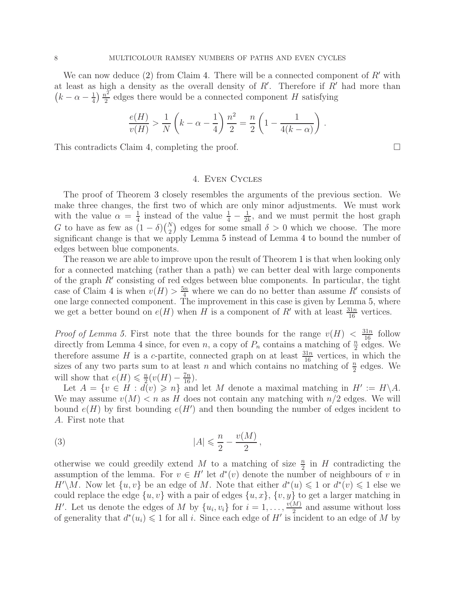We can now deduce [\(2\)](#page-4-1) from Claim [4.](#page-6-0) There will be a connected component of  $R'$  with at least as high a density as the overall density of  $R'$ . Therefore if  $R'$  had more than  $\left(k-\alpha-\frac{1}{4}\right)$  $rac{1}{4}$ )  $rac{n^2}{2}$  $\frac{v^2}{2}$  edges there would be a connected component H satisfying

$$
\frac{e(H)}{v(H)} > \frac{1}{N} \left( k - \alpha - \frac{1}{4} \right) \frac{n^2}{2} = \frac{n}{2} \left( 1 - \frac{1}{4(k - \alpha)} \right).
$$

<span id="page-7-0"></span>This contradicts Claim [4,](#page-6-0) completing the proof.

## 4. Even Cycles

The proof of Theorem [3](#page-2-0) closely resembles the arguments of the previous section. We make three changes, the first two of which are only minor adjustments. We must work with the value  $\alpha = \frac{1}{4}$  $\frac{1}{4}$  instead of the value  $\frac{1}{4} - \frac{1}{2l}$  $\frac{1}{2k}$ , and we must permit the host graph G to have as few as  $(1 - \delta) {N \choose 2}$  edges for some small  $\delta > 0$  which we choose. The more significant change is that we apply Lemma [5](#page-3-4) instead of Lemma [4](#page-3-3) to bound the number of edges between blue components.

The reason we are able to improve upon the result of Theorem [1](#page-1-1) is that when looking only for a connected matching (rather than a path) we can better deal with large components of the graph R′ consisting of red edges between blue components. In particular, the tight case of Claim [4](#page-6-0) is when  $v(H) > \frac{5n}{4}$  where we can do no better than assume R' consists of one large connected component. The improvement in this case is given by Lemma [5,](#page-3-4) where we get a better bound on  $e(H)$  when H is a component of R' with at least  $\frac{31n}{16}$  vertices.

*Proof of Lemma [5.](#page-3-4)* First note that the three bounds for the range  $v(H) < \frac{31n}{16}$  follow directly from Lemma [4](#page-3-3) since, for even n, a copy of  $P_n$  contains a matching of  $\frac{n}{2}$  edges. We therefore assume H is a c-partite, connected graph on at least  $\frac{31n}{16}$  vertices, in which the sizes of any two parts sum to at least n and which contains no matching of  $\frac{n}{2}$  edges. We will show that  $e(H) \leq \frac{n}{2}$  $\frac{n}{2}(v(H)-\frac{7n}{16}).$ 

Let  $A = \{v \in H : d(v) \geq n\}$  and let M denote a maximal matching in  $H' := H \backslash A$ . We may assume  $v(M) < n$  as H does not contain any matching with  $n/2$  edges. We will bound  $e(H)$  by first bounding  $e(H')$  and then bounding the number of edges incident to A. First note that

<span id="page-7-1"></span>
$$
|A| \leqslant \frac{n}{2} - \frac{v(M)}{2},
$$

otherwise we could greedily extend M to a matching of size  $\frac{n}{2}$  in H contradicting the assumption of the lemma. For  $v \in H'$  let  $d^*(v)$  denote the number of neighbours of v in  $H'\backslash M$ . Now let  $\{u, v\}$  be an edge of M. Note that either  $d^*(u) \leq 1$  or  $d^*(v) \leq 1$  else we could replace the edge  $\{u, v\}$  with a pair of edges  $\{u, x\}$ ,  $\{v, y\}$  to get a larger matching in H'. Let us denote the edges of M by  $\{u_i, v_i\}$  for  $i = 1, \ldots, \frac{v(M)}{2}$  $\frac{M}{2}$  and assume without loss of generality that  $d^*(u_i) \leq 1$  for all i. Since each edge of H' is incident to an edge of M by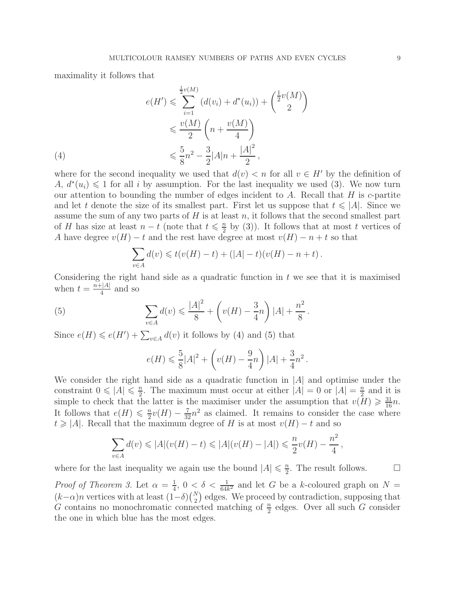maximality it follows that

(4)  
\n
$$
e(H') \leqslant \sum_{i=1}^{\frac{1}{2}v(M)} (d(v_i) + d^*(u_i)) + \binom{\frac{1}{2}v(M)}{2}
$$
\n
$$
\leqslant \frac{v(M)}{2} \left(n + \frac{v(M)}{4}\right)
$$
\n
$$
\leqslant \frac{5}{8}n^2 - \frac{3}{2}|A|n + \frac{|A|^2}{2},
$$

<span id="page-8-0"></span>where for the second inequality we used that  $d(v) < n$  for all  $v \in H'$  by the definition of A,  $d^*(u_i) \leq 1$  for all i by assumption. For the last inequality we used [\(3\)](#page-7-1). We now turn our attention to bounding the number of edges incident to  $A$ . Recall that  $H$  is  $c$ -partite and let t denote the size of its smallest part. First let us suppose that  $t \leq |A|$ . Since we assume the sum of any two parts of  $H$  is at least  $n$ , it follows that the second smallest part of H has size at least  $n-t$  (note that  $t \leq \frac{n}{2}$ )  $\frac{n}{2}$  by [\(3\)](#page-7-1)). It follows that at most t vertices of A have degree  $v(H) - t$  and the rest have degree at most  $v(H) - n + t$  so that

$$
\sum_{v \in A} d(v) \leq t(v(H) - t) + (|A| - t)(v(H) - n + t).
$$

Considering the right hand side as a quadratic function in  $t$  we see that it is maximised when  $t = \frac{n+|A|}{4}$  $rac{1}{4}$  and so

<span id="page-8-1"></span>(5) 
$$
\sum_{v \in A} d(v) \leq \frac{|A|^2}{8} + \left(v(H) - \frac{3}{4}n\right)|A| + \frac{n^2}{8}.
$$

Since  $e(H) \leqslant e(H') + \sum_{v \in A} d(v)$  it follows by [\(4\)](#page-8-0) and [\(5\)](#page-8-1) that

$$
e(H) \le \frac{5}{8}|A|^2 + \left(v(H) - \frac{9}{4}n\right)|A| + \frac{3}{4}n^2.
$$

We consider the right hand side as a quadratic function in  $|A|$  and optimise under the constraint  $0 \leq |A| \leq \frac{n}{2}$  $\frac{n}{2}$ . The maximum must occur at either  $|A| = 0$  or  $|A| = \frac{n}{2}$  $\frac{n}{2}$  and it is simple to check that the latter is the maximiser under the assumption that  $v(H) \geq \frac{31}{16}n$ . It follows that  $e(H) \leq \frac{n}{2}$  $\frac{n}{2}v(H) - \frac{7}{32}n^2$  as claimed. It remains to consider the case where  $t \geq |A|$ . Recall that the maximum degree of H is at most  $v(H) - t$  and so

$$
\sum_{v \in A} d(v) \leq |A|(v(H) - t) \leq |A|(v(H) - |A|) \leq \frac{n}{2}v(H) - \frac{n^2}{4},
$$

where for the last inequality we again use the bound  $|A| \leq \frac{n}{2}$  $\frac{n}{2}$ . The result follows.  $\Box$ 

*Proof of Theorem [3.](#page-2-0)* Let  $\alpha = \frac{1}{4}$  $\frac{1}{4}$ ,  $0 < \delta < \frac{1}{64k^2}$  and let G be a k-coloured graph on  $N =$  $(k-\alpha)n$  vertices with at least  $(1-\delta)\binom{N}{2}$  edges. We proceed by contradiction, supposing that G contains no monochromatic connected matching of  $\frac{n}{2}$  edges. Over all such G consider the one in which blue has the most edges.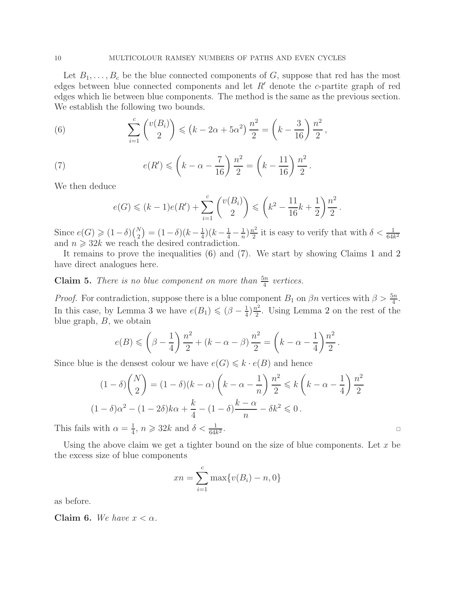Let  $B_1, \ldots, B_c$  be the blue connected components of G, suppose that red has the most edges between blue connected components and let  $R'$  denote the c-partite graph of red edges which lie between blue components. The method is the same as the previous section. We establish the following two bounds.

<span id="page-9-0"></span>(6) 
$$
\sum_{i=1}^{c} {v(B_i) \choose 2} \leq (k - 2\alpha + 5\alpha^2) \frac{n^2}{2} = \left(k - \frac{3}{16}\right) \frac{n^2}{2},
$$

<span id="page-9-1"></span>(7) 
$$
e(R') \leqslant \left(k - \alpha - \frac{7}{16}\right) \frac{n^2}{2} = \left(k - \frac{11}{16}\right) \frac{n^2}{2}.
$$

We then deduce

$$
e(G) \le (k-1)e(R') + \sum_{i=1}^{c} {v(B_i) \choose 2} \le (k^2 - \frac{11}{16}k + \frac{1}{2})\frac{n^2}{2}.
$$

Since  $e(G) \geq (1 - \delta)\binom{N}{2} = (1 - \delta)(k - \frac{1}{4})$  $\frac{1}{4}$ ) $(k - \frac{1}{4} - \frac{1}{n})$  $\frac{1}{n}\big)\frac{n^2}{2}$  $\frac{a^2}{2}$  it is easy to verify that with  $\delta < \frac{1}{64k^2}$ and  $n \geqslant 32k$  we reach the desired contradiction.

It remains to prove the inequalities [\(6\)](#page-9-0) and [\(7\)](#page-9-1). We start by showing Claims [1](#page-4-2) and [2](#page-5-0) have direct analogues here.

# <span id="page-9-2"></span>**Claim 5.** There is no blue component on more than  $\frac{5n}{4}$  vertices.

*Proof.* For contradiction, suppose there is a blue component  $B_1$  on  $\beta n$  vertices with  $\beta > \frac{5n}{4}$ . In this case, by Lemma [3](#page-3-2) we have  $e(B_1) \leqslant (\beta - \frac{1}{4})$  $\frac{1}{4}$ ) $\frac{n^2}{2}$  $\frac{\pi^2}{2}$  $\frac{\pi^2}{2}$  $\frac{\pi^2}{2}$ . Using Lemma 2 on the rest of the blue graph, B, we obtain

$$
e(B) \leq \left(\beta - \frac{1}{4}\right) \frac{n^2}{2} + (k - \alpha - \beta) \frac{n^2}{2} = \left(k - \alpha - \frac{1}{4}\right) \frac{n^2}{2}.
$$

Since blue is the densest colour we have  $e(G) \leq k \cdot e(B)$  and hence

$$
(1 - \delta)\binom{N}{2} = (1 - \delta)(k - \alpha)\left(k - \alpha - \frac{1}{n}\right)\frac{n^2}{2} \le k\left(k - \alpha - \frac{1}{4}\right)\frac{n^2}{2}
$$

$$
(1 - \delta)\alpha^2 - (1 - 2\delta)k\alpha + \frac{k}{4} - (1 - \delta)\frac{k - \alpha}{n} - \delta k^2 \le 0.
$$
with  $\alpha = \frac{1}{4}$ ,  $n \ge 32k$  and  $\delta < \frac{1}{64k^2}$ .

This fails with  $\alpha = \frac{1}{4}$  $\frac{1}{4}$ ,  $n \geqslant 32k$  and  $\delta < \frac{1}{64k^2}$ 

Using the above claim we get a tighter bound on the size of blue components. Let  $x$  be the excess size of blue components

$$
xn = \sum_{i=1}^{c} \max\{v(B_i) - n, 0\}
$$

as before.

<span id="page-9-3"></span>Claim 6. We have  $x < \alpha$ .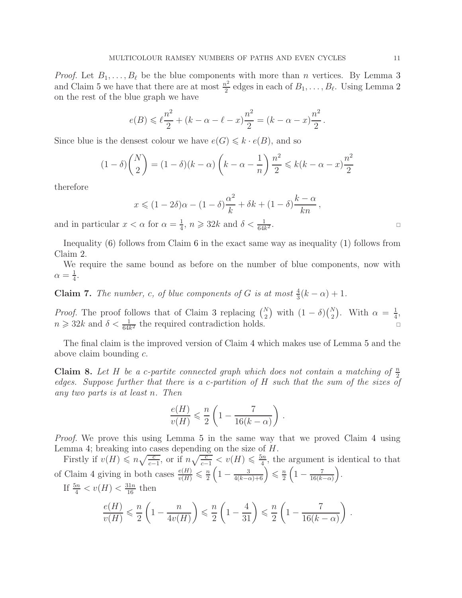*Proof.* Let  $B_1, \ldots, B_\ell$  be the blue components with more than *n* vertices. By Lemma [3](#page-3-2) and Claim [5](#page-9-2) we have that there are at most  $\frac{n^2}{2}$  $\frac{\nu^2}{2}$  $\frac{\nu^2}{2}$  $\frac{\nu^2}{2}$  edges in each of  $B_1, \ldots, B_\ell$ . Using Lemma 2 on the rest of the blue graph we have

$$
e(B) \leq \ell \frac{n^2}{2} + (k - \alpha - \ell - x) \frac{n^2}{2} = (k - \alpha - x) \frac{n^2}{2}.
$$

Since blue is the densest colour we have  $e(G) \leq k \cdot e(B)$ , and so

$$
(1 - \delta) \binom{N}{2} = (1 - \delta)(k - \alpha) \left(k - \alpha - \frac{1}{n}\right) \frac{n^2}{2} \le k(k - \alpha - x) \frac{n^2}{2}
$$

therefore

$$
x \leqslant (1 - 2\delta)\alpha - (1 - \delta)\frac{\alpha^2}{k} + \delta k + (1 - \delta)\frac{k - \alpha}{kn},
$$

and in particular  $x < \alpha$  for  $\alpha = \frac{1}{4}$  $\frac{1}{4}$ ,  $n \geqslant 32k$  and  $\delta < \frac{1}{64k}$  $\overline{2}$  .

Inequality [\(6\)](#page-9-0) follows from Claim [6](#page-9-3) in the exact same way as inequality [\(1\)](#page-4-0) follows from Claim [2.](#page-5-0)

We require the same bound as before on the number of blue components, now with  $\alpha = \frac{1}{4}$  $\frac{1}{4}$ .

**Claim 7.** The number, c, of blue components of G is at most  $\frac{4}{3}(k-\alpha)+1$ .

*Proof.* The proof follows that of Claim [3](#page-5-1) replacing  $\binom{N}{2}$  with  $(1 - \delta)\binom{N}{2}$ . With  $\alpha = \frac{1}{4}$  $\frac{1}{4}$ ,  $n \geqslant 32k$  and  $\delta < \frac{1}{64k^2}$  the required contradiction holds.

The final claim is the improved version of Claim [4](#page-6-0) which makes use of Lemma [5](#page-3-4) and the above claim bounding c.

<span id="page-10-0"></span>**Claim 8.** Let H be a c-partite connected graph which does not contain a matching of  $\frac{n}{2}$ 2 edges. Suppose further that there is a c-partition of H such that the sum of the sizes of any two parts is at least n. Then

$$
\frac{e(H)}{v(H)} \leqslant \frac{n}{2} \left( 1 - \frac{7}{16(k - \alpha)} \right) \, .
$$

Proof. We prove this using Lemma [5](#page-3-4) in the same way that we proved Claim [4](#page-6-0) using Lemma [4;](#page-3-3) breaking into cases depending on the size of H.

Firstly if  $v(H) \leqslant n\sqrt{\frac{c}{c-1}}$ , or if  $n\sqrt{\frac{c}{c-1}} < v(H) \leqslant \frac{5n}{4}$  $\frac{dm}{4}$ , the argument is identical to that of Claim [4](#page-6-0) giving in both cases  $\frac{e(H)}{v(H)} \leq \frac{n}{2}$  $\frac{n}{2}\left(1-\frac{3}{4(k-\alpha)+6}\right)\leqslant \frac{n}{2}$  $\frac{n}{2}\left(1-\frac{7}{16(k+1)}\right)$  $rac{7}{16(k-\alpha)}$ . If  $\frac{5n}{4} < v(H) < \frac{31n}{16}$  then  $e(H)$  $\overline{n}$  $\sqrt{ }$  $\overline{n}$  $\setminus$ 7  $\setminus$ 

$$
\frac{e(H)}{v(H)} \leqslant \frac{n}{2} \left( 1 - \frac{n}{4v(H)} \right) \leqslant \frac{n}{2} \left( 1 - \frac{4}{31} \right) \leqslant \frac{n}{2} \left( 1 - \frac{7}{16(k - \alpha)} \right) \, .
$$